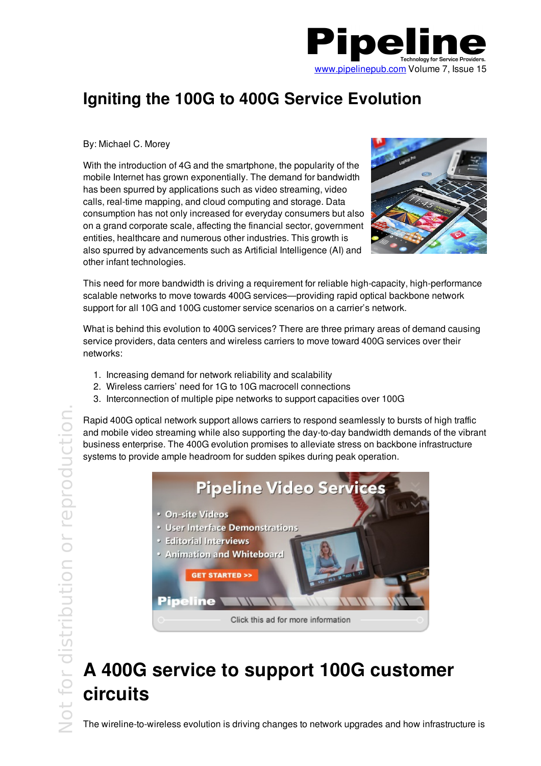

## **Igniting the 100G to 400G Service Evolution**

By: Michael C. Morey

With the introduction of 4G and the smartphone, the popularity of the mobile Internet has grown exponentially. The demand for bandwidth has been spurred by applications such as video streaming, video calls, real-time mapping, and cloud computing and storage. Data consumption has not only increased for everyday consumers but also on a grand corporate scale, affecting the financial sector, government entities, healthcare and numerous other industries. This growth is also spurred by advancements such as Artificial Intelligence (AI) and other infant technologies.



This need for more bandwidth is driving a requirement for reliable high-capacity, high-performance scalable networks to move towards 400G services—providing rapid optical backbone network support for all 10G and 100G customer service scenarios on a carrier's network.

What is behind this evolution to 400G services? There are three primary areas of demand causing service providers, data centers and wireless carriers to move toward 400G services over their networks:

- 1. Increasing demand for network reliability and scalability
- 2. Wireless carriers' need for 1G to 10G macrocell connections
- 3. Interconnection of multiple pipe networks to support capacities over 100G

Rapid 400G optical network support allows carriers to respond seamlessly to bursts of high traffic and mobile video streaming while also supporting the day-to-day bandwidth demands of the vibrant business enterprise. The 400G evolution promises to alleviate stress on backbone infrastructure systems to provide ample headroom for sudden spikes during peak operation.



## **A 400G service to support 100G customer circuits** C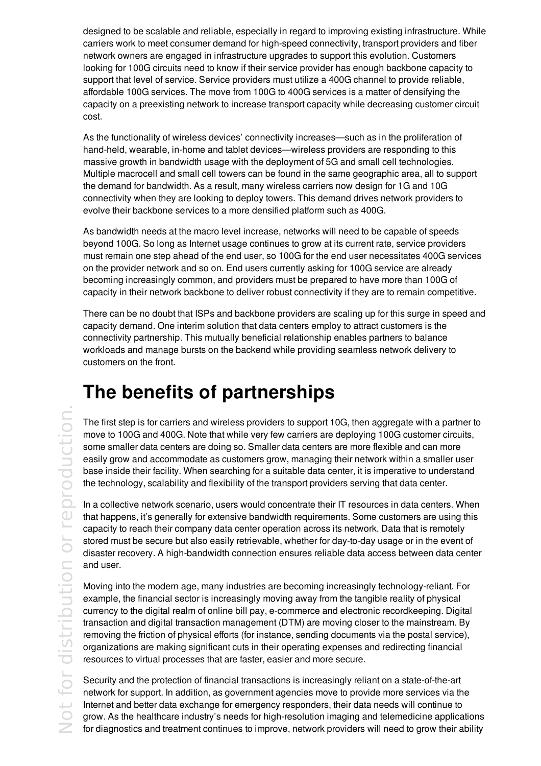designed to be scalable and reliable, especially in regard to improving existing infrastructure. While carriers work to meet consumer demand for high-speed connectivity, transport providers and fiber network owners are engaged in infrastructure upgrades to support this evolution. Customers looking for 100G circuits need to know if their service provider has enough backbone capacity to support that level of service. Service providers must utilize a 400G channel to provide reliable, affordable 100G services. The move from 100G to 400G services is a matter of densifying the capacity on a preexisting network to increase transport capacity while decreasing customer circuit cost.

As the functionality of wireless devices' connectivity increases—such as in the proliferation of hand-held, wearable, in-home and tablet devices—wireless providers are responding to this massive growth in bandwidth usage with the deployment of 5G and small cell technologies. Multiple macrocell and small cell towers can be found in the same geographic area, all to support the demand for bandwidth. As a result, many wireless carriers now design for 1G and 10G connectivity when they are looking to deploy towers. This demand drives network providers to evolve their backbone services to a more densified platform such as 400G.

As bandwidth needs at the macro level increase, networks will need to be capable of speeds beyond 100G. So long as Internet usage continues to grow at its current rate, service providers must remain one step ahead of the end user, so 100G for the end user necessitates 400G services on the provider network and so on. End users currently asking for 100G service are already becoming increasingly common, and providers must be prepared to have more than 100G of capacity in their network backbone to deliver robust connectivity if they are to remain competitive.

There can be no doubt that ISPs and backbone providers are scaling up for this surge in speed and capacity demand. One interim solution that data centers employ to attract customers is the connectivity partnership. This mutually beneficial relationship enables partners to balance workloads and manage bursts on the backend while providing seamless network delivery to customers on the front.

## **The benefits of partnerships**

The first step is for carriers and wireless providers to support 10G, then aggregate with a partner to move to 100G and 400G. Note that while very few carriers are deploying 100G customer circuits, some smaller data centers are doing so. Smaller data centers are more flexible and can more easily grow and accommodate as customers grow, managing their network within a smaller user base inside their facility. When searching for a suitable data center, it is imperative to understand the technology, scalability and flexibility of the transport providers serving that data center.

In a collective network scenario, users would concentrate their IT resources in data centers. When that happens, it's generally for extensive bandwidth requirements. Some customers are using this capacity to reach their company data center operation across its network. Data that is remotely stored must be secure but also easily retrievable, whether for day-to-day usage or in the event of disaster recovery. A high-bandwidth connection ensures reliable data access between data center and user.

Moving into the modern age, many industries are becoming increasingly technology-reliant. For example, the financial sector is increasingly moving away from the tangible reality of physical currency to the digital realm of online bill pay, e-commerce and electronic recordkeeping. Digital transaction and digital transaction management (DTM) are moving closer to the mainstream. By removing the friction of physical efforts (for instance, sending documents via the postal service), organizations are making significant cuts in their operating expenses and redirecting financial resources to virtual processes that are faster, easier and more secure.

Security and the protection of financial transactions is increasingly reliant on a state-of-the-art network for support. In addition, as government agencies move to provide more services via the Internet and better data exchange for emergency responders, their data needs will continue to grow. As the healthcare industry's needs for high-resolution imaging and telemedicine applications for diagnostics and treatment continues to improve, network providers will need to grow their ability